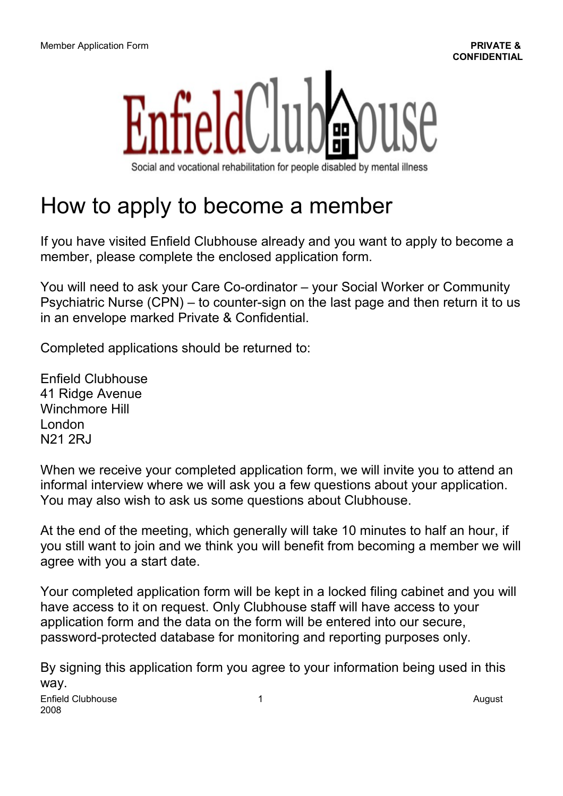

# How to apply to become a member

If you have visited Enfield Clubhouse already and you want to apply to become a member, please complete the enclosed application form.

You will need to ask your Care Co-ordinator – your Social Worker or Community Psychiatric Nurse (CPN) – to counter-sign on the last page and then return it to us in an envelope marked Private & Confidential.

Completed applications should be returned to:

Enfield Clubhouse 41 Ridge Avenue Winchmore Hill London N21 2RJ

When we receive your completed application form, we will invite you to attend an informal interview where we will ask you a few questions about your application. You may also wish to ask us some questions about Clubhouse.

At the end of the meeting, which generally will take 10 minutes to half an hour, if you still want to join and we think you will benefit from becoming a member we will agree with you a start date.

Your completed application form will be kept in a locked filing cabinet and you will have access to it on request. Only Clubhouse staff will have access to your application form and the data on the form will be entered into our secure, password-protected database for monitoring and reporting purposes only.

By signing this application form you agree to your information being used in this way.

Enfield Clubhouse **1** August 2012 1 August 2012 1 August 2012 1 August 2012 1 August 2012 1 August 2012 1 August 2012 1 August 2012 1 August 2012 1 August 2012 1 August 2012 1 August 2012 1 August 2012 1 August 2012 1 Augu 2008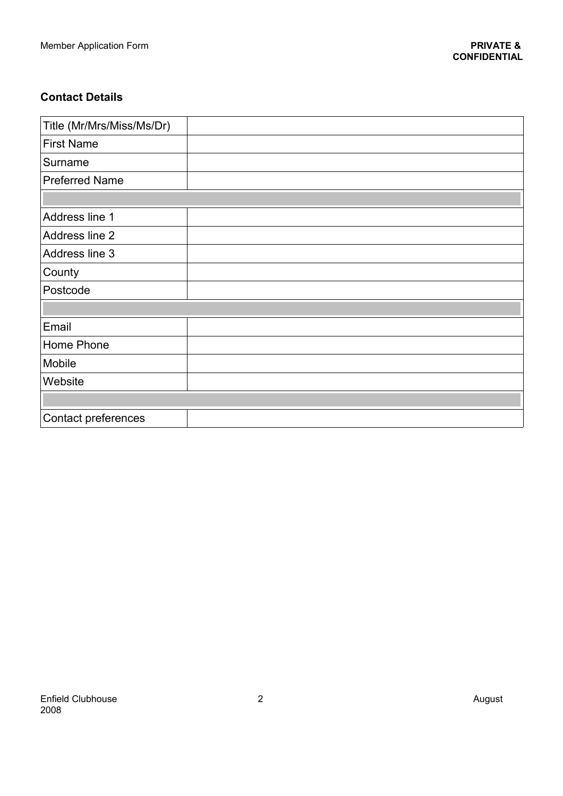### **Contact Details**

| Title (Mr/Mrs/Miss/Ms/Dr) |  |
|---------------------------|--|
| <b>First Name</b>         |  |
| Surname                   |  |
| <b>Preferred Name</b>     |  |
|                           |  |
| Address line 1            |  |
| Address line 2            |  |
| Address line 3            |  |
| County                    |  |
| Postcode                  |  |
|                           |  |
| Email                     |  |
| Home Phone                |  |
| Mobile                    |  |
| Website                   |  |
|                           |  |
| Contact preferences       |  |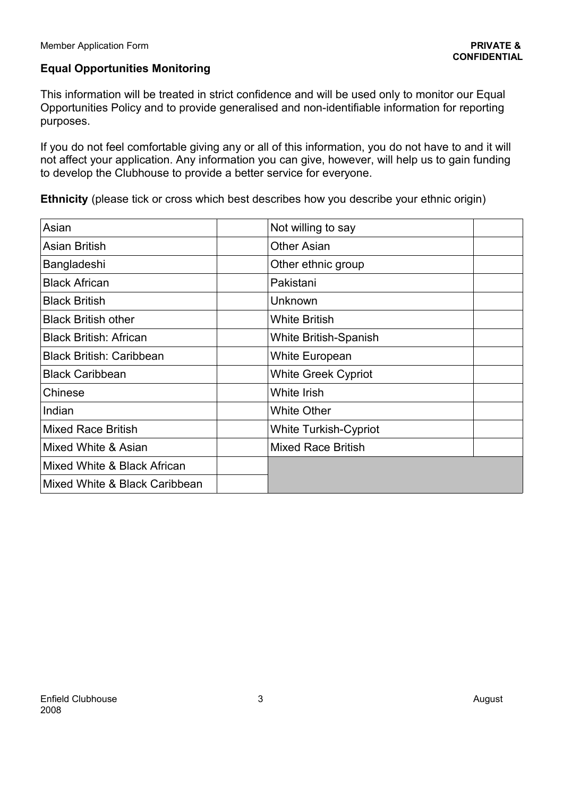### **Equal Opportunities Monitoring**

This information will be treated in strict confidence and will be used only to monitor our Equal Opportunities Policy and to provide generalised and non-identifiable information for reporting purposes.

If you do not feel comfortable giving any or all of this information, you do not have to and it will not affect your application. Any information you can give, however, will help us to gain funding to develop the Clubhouse to provide a better service for everyone.

**Ethnicity** (please tick or cross which best describes how you describe your ethnic origin)

| Asian                           | Not willing to say           |
|---------------------------------|------------------------------|
| <b>Asian British</b>            | <b>Other Asian</b>           |
| Bangladeshi                     | Other ethnic group           |
| <b>Black African</b>            | Pakistani                    |
| <b>Black British</b>            | Unknown                      |
| <b>Black British other</b>      | <b>White British</b>         |
| <b>Black British: African</b>   | White British-Spanish        |
| <b>Black British: Caribbean</b> | <b>White European</b>        |
| <b>Black Caribbean</b>          | <b>White Greek Cypriot</b>   |
| Chinese                         | White Irish                  |
| Indian                          | <b>White Other</b>           |
| <b>Mixed Race British</b>       | <b>White Turkish-Cypriot</b> |
| Mixed White & Asian             | <b>Mixed Race British</b>    |
| Mixed White & Black African     |                              |
| Mixed White & Black Caribbean   |                              |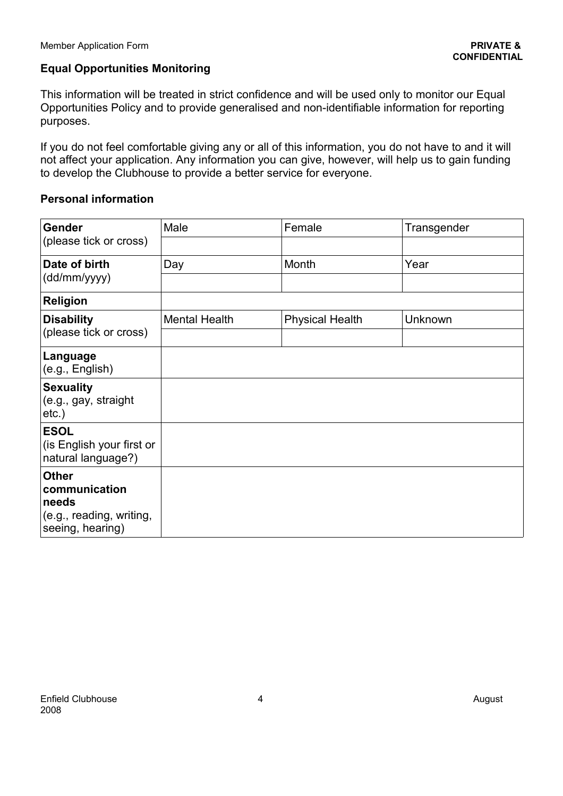### **Equal Opportunities Monitoring**

This information will be treated in strict confidence and will be used only to monitor our Equal Opportunities Policy and to provide generalised and non-identifiable information for reporting purposes.

If you do not feel comfortable giving any or all of this information, you do not have to and it will not affect your application. Any information you can give, however, will help us to gain funding to develop the Clubhouse to provide a better service for everyone.

#### **Personal information**

| <b>Gender</b>                                                                          | Male                 | Female                 | Transgender |
|----------------------------------------------------------------------------------------|----------------------|------------------------|-------------|
| (please tick or cross)                                                                 |                      |                        |             |
| Date of birth                                                                          | Day                  | Month                  | Year        |
| (dd/mm/yyyy)                                                                           |                      |                        |             |
| <b>Religion</b>                                                                        |                      |                        |             |
| <b>Disability</b>                                                                      | <b>Mental Health</b> | <b>Physical Health</b> | Unknown     |
| (please tick or cross)                                                                 |                      |                        |             |
| Language<br>(e.g., English)                                                            |                      |                        |             |
| <b>Sexuality</b><br>(e.g., gay, straight<br>$etc.$ )                                   |                      |                        |             |
| <b>ESOL</b><br>(is English your first or<br>natural language?)                         |                      |                        |             |
| <b>Other</b><br>communication<br>needs<br>(e.g., reading, writing,<br>seeing, hearing) |                      |                        |             |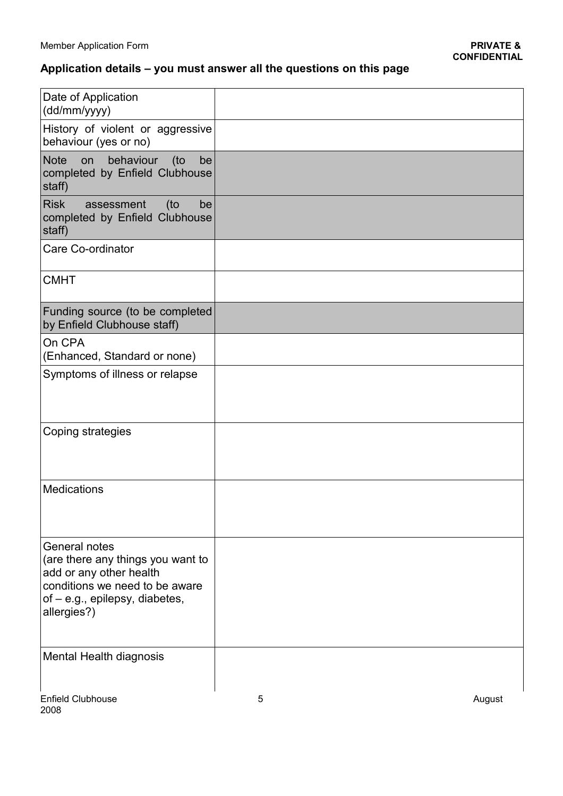## **Application details – you must answer all the questions on this page**

| <b>Enfield Clubhouse</b>                                                                                                                                         | 5 | August |
|------------------------------------------------------------------------------------------------------------------------------------------------------------------|---|--------|
| Mental Health diagnosis                                                                                                                                          |   |        |
| General notes<br>(are there any things you want to<br>add or any other health<br>conditions we need to be aware<br>of - e.g., epilepsy, diabetes,<br>allergies?) |   |        |
| <b>Medications</b>                                                                                                                                               |   |        |
| Coping strategies                                                                                                                                                |   |        |
| Symptoms of illness or relapse                                                                                                                                   |   |        |
| On CPA<br>(Enhanced, Standard or none)                                                                                                                           |   |        |
| Funding source (to be completed<br>by Enfield Clubhouse staff)                                                                                                   |   |        |
| <b>CMHT</b>                                                                                                                                                      |   |        |
| Care Co-ordinator                                                                                                                                                |   |        |
| <b>Risk</b><br>assessment<br>(to<br>be<br>completed by Enfield Clubhouse<br>staff)                                                                               |   |        |
| <b>Note</b><br>on<br>behaviour<br>(to<br>be<br>completed by Enfield Clubhouse<br>staff)                                                                          |   |        |
| History of violent or aggressive<br>behaviour (yes or no)                                                                                                        |   |        |
| Date of Application<br>(dd/mm/yyyy)                                                                                                                              |   |        |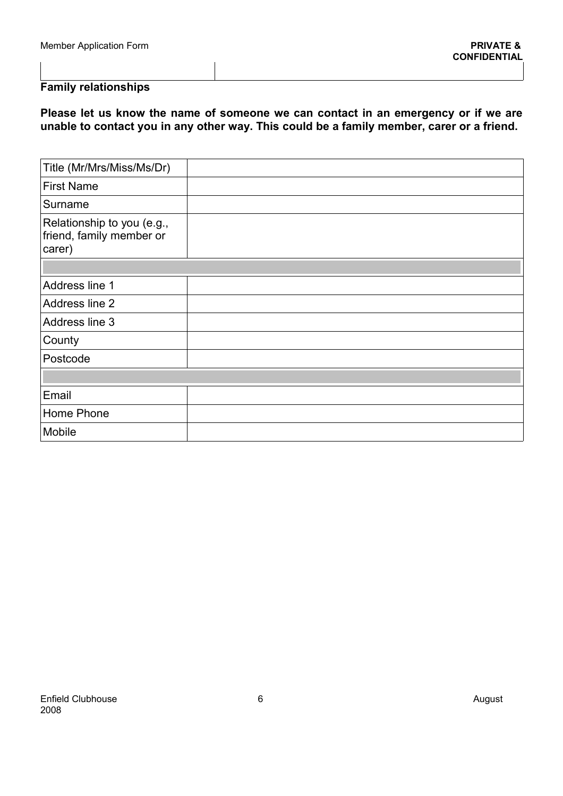# **Family relationships**

**Please let us know the name of someone we can contact in an emergency or if we are unable to contact you in any other way. This could be a family member, carer or a friend.**

| Title (Mr/Mrs/Miss/Ms/Dr)                                        |  |
|------------------------------------------------------------------|--|
| <b>First Name</b>                                                |  |
| Surname                                                          |  |
| Relationship to you (e.g.,<br>friend, family member or<br>carer) |  |
|                                                                  |  |
| Address line 1                                                   |  |
| Address line 2                                                   |  |
| Address line 3                                                   |  |
| County                                                           |  |
| Postcode                                                         |  |
|                                                                  |  |
| Email                                                            |  |
| Home Phone                                                       |  |
| Mobile                                                           |  |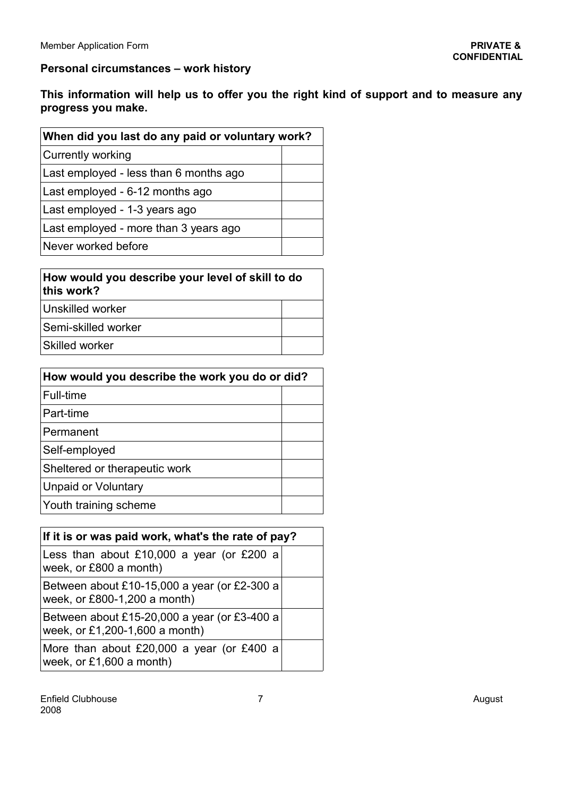### **Personal circumstances – work history**

**This information will help us to offer you the right kind of support and to measure any progress you make.**

| When did you last do any paid or voluntary work? |  |  |
|--------------------------------------------------|--|--|
| Currently working                                |  |  |
| Last employed - less than 6 months ago           |  |  |
| Last employed - 6-12 months ago                  |  |  |
| Last employed - 1-3 years ago                    |  |  |
| Last employed - more than 3 years ago            |  |  |
| Never worked before                              |  |  |

## **How would you describe your level of skill to do this work?** Unskilled worker

Semi-skilled worker

Skilled worker

| How would you describe the work you do or did? |  |  |
|------------------------------------------------|--|--|
| Full-time                                      |  |  |
| Part-time                                      |  |  |
| Permanent                                      |  |  |
| Self-employed                                  |  |  |
| Sheltered or therapeutic work                  |  |  |
| Unpaid or Voluntary                            |  |  |
| Youth training scheme                          |  |  |

| If it is or was paid work, what's the rate of pay?                             |  |  |
|--------------------------------------------------------------------------------|--|--|
| Less than about £10,000 a year (or £200 a<br>week, or £800 a month)            |  |  |
| Between about £10-15,000 a year (or £2-300 a<br>week, or £800-1,200 a month)   |  |  |
| Between about £15-20,000 a year (or £3-400 a<br>week, or £1,200-1,600 a month) |  |  |
| More than about £20,000 a year (or £400 a<br>week, or £1,600 a month)          |  |  |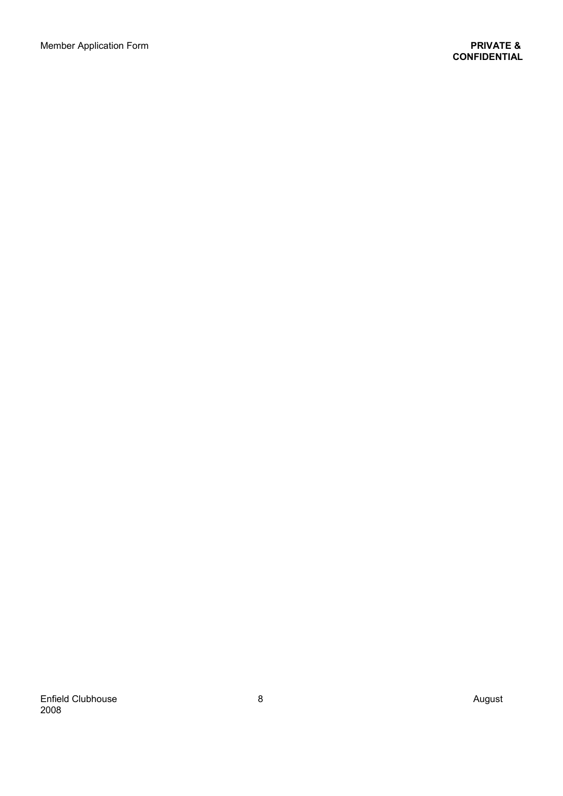Member Application Form **PRIVATE &**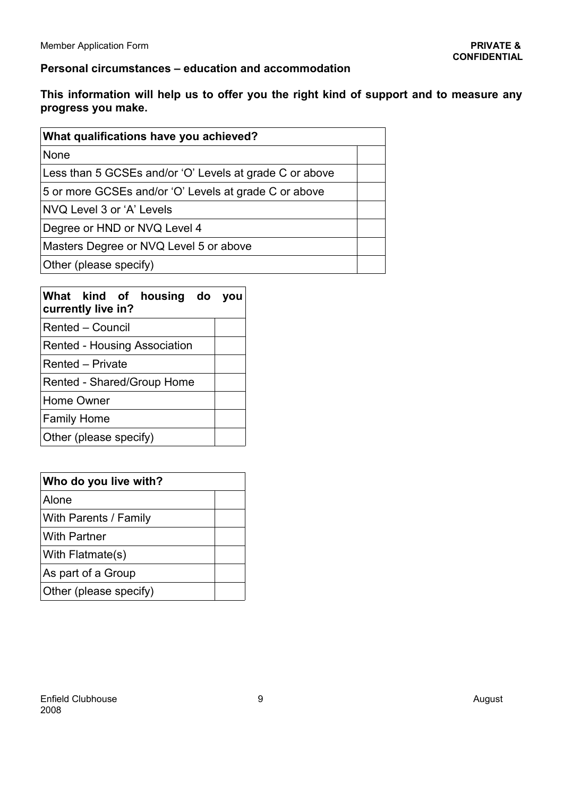### **Personal circumstances – education and accommodation**

**This information will help us to offer you the right kind of support and to measure any progress you make.**

| What qualifications have you achieved?                  |  |  |
|---------------------------------------------------------|--|--|
| None                                                    |  |  |
| Less than 5 GCSEs and/or 'O' Levels at grade C or above |  |  |
| 5 or more GCSEs and/or 'O' Levels at grade C or above   |  |  |
| NVQ Level 3 or 'A' Levels                               |  |  |
| Degree or HND or NVQ Level 4                            |  |  |
| Masters Degree or NVQ Level 5 or above                  |  |  |
| Other (please specify)                                  |  |  |

| What kind of housing do you<br>currently live in? |  |
|---------------------------------------------------|--|
| Rented – Council                                  |  |
| Rented - Housing Association                      |  |
| Rented – Private                                  |  |
| Rented - Shared/Group Home                        |  |
| <b>Home Owner</b>                                 |  |
| Family Home                                       |  |
| Other (please specify)                            |  |

| Who do you live with?  |  |  |
|------------------------|--|--|
| Alone                  |  |  |
| With Parents / Family  |  |  |
| <b>With Partner</b>    |  |  |
| With Flatmate(s)       |  |  |
| As part of a Group     |  |  |
| Other (please specify) |  |  |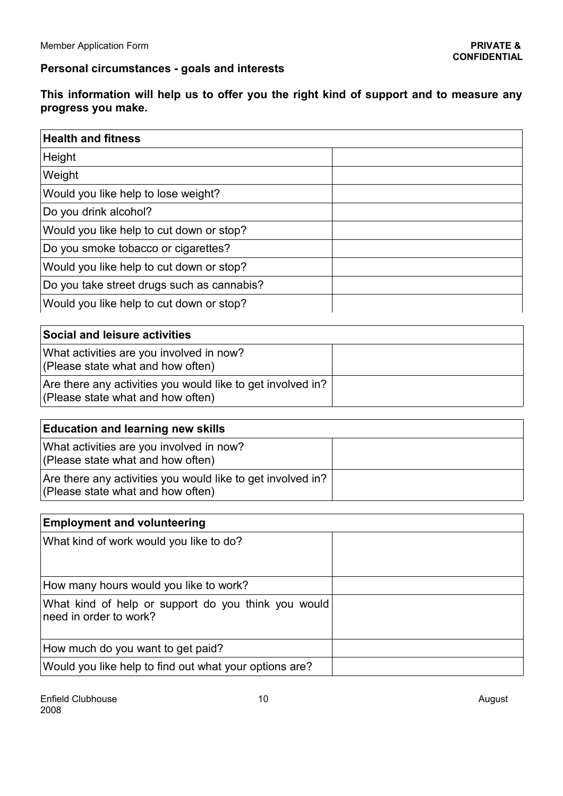### **Personal circumstances - goals and interests**

**This information will help us to offer you the right kind of support and to measure any progress you make.**

| <b>Health and fitness</b>                  |  |
|--------------------------------------------|--|
| Height                                     |  |
| Weight                                     |  |
| Would you like help to lose weight?        |  |
| Do you drink alcohol?                      |  |
| Would you like help to cut down or stop?   |  |
| Do you smoke tobacco or cigarettes?        |  |
| Would you like help to cut down or stop?   |  |
| Do you take street drugs such as cannabis? |  |
| Would you like help to cut down or stop?   |  |

| Social and leisure activities                                                                    |  |
|--------------------------------------------------------------------------------------------------|--|
| What activities are you involved in now?<br>(Please state what and how often)                    |  |
| Are there any activities you would like to get involved in?<br>(Please state what and how often) |  |

| <b>Education and learning new skills</b>                                                         |  |
|--------------------------------------------------------------------------------------------------|--|
| What activities are you involved in now?<br>(Please state what and how often)                    |  |
| Are there any activities you would like to get involved in?<br>(Please state what and how often) |  |

| <b>Employment and volunteering</b>                                            |  |  |
|-------------------------------------------------------------------------------|--|--|
| What kind of work would you like to do?                                       |  |  |
| How many hours would you like to work?                                        |  |  |
| What kind of help or support do you think you would<br>need in order to work? |  |  |
| How much do you want to get paid?                                             |  |  |
| Would you like help to find out what your options are?                        |  |  |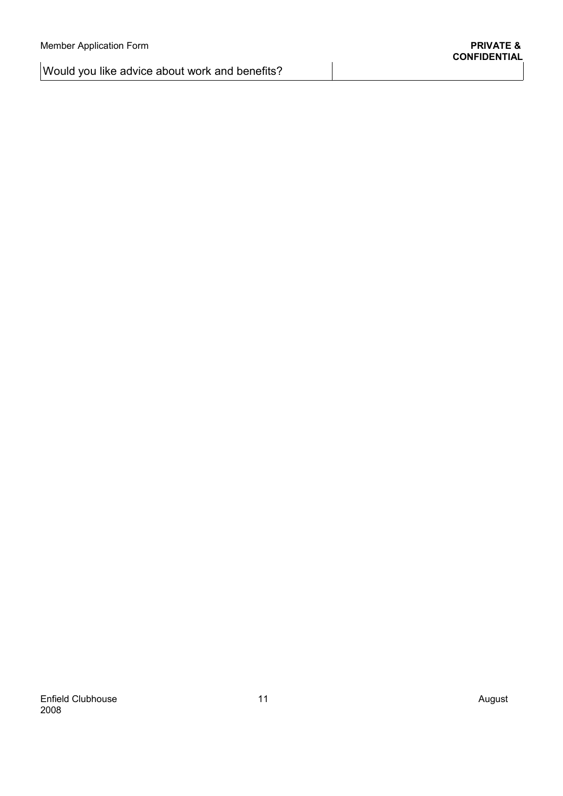Would you like advice about work and benefits?